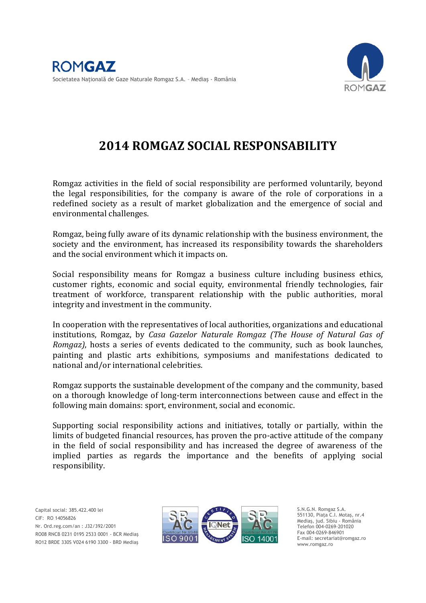

# **2014 ROMGAZ SOCIAL RESPONSABILITY**

Romgaz activities in the field of social responsibility are performed voluntarily, beyond the legal responsibilities, for the company is aware of the role of corporations in a redefined society as a result of market globalization and the emergence of social and environmental challenges.

Romgaz, being fully aware of its dynamic relationship with the business environment, the society and the environment, has increased its responsibility towards the shareholders and the social environment which it impacts on.

Social responsibility means for Romgaz a business culture including business ethics, customer rights, economic and social equity, environmental friendly technologies, fair treatment of workforce, transparent relationship with the public authorities, moral integrity and investment in the community.

In cooperation with the representatives of local authorities, organizations and educational institutions, Romgaz, by *Casa Gazelor Naturale Romgaz (The House of Natural Gas of Romgaz)*, hosts a series of events dedicated to the community, such as book launches, painting and plastic arts exhibitions, symposiums and manifestations dedicated to national and/or international celebrities.

Romgaz supports the sustainable development of the company and the community, based on a thorough knowledge of long-term interconnections between cause and effect in the following main domains: sport, environment, social and economic.

Supporting social responsibility actions and initiatives, totally or partially, within the limits of budgeted financial resources, has proven the pro-active attitude of the company in the field of social responsibility and has increased the degree of awareness of the implied parties as regards the importance and the benefits of applying social responsibility.

 RO12 BRDE 330S V024 6190 3300 - BRD Mediaş Capital social: 385.422.400 lei CIF: RO 14056826 Nr. Ord.reg.com/an : J32/392/2001 RO08 RNCB 0231 0195 2533 0001 - BCR Mediaş



S.N.G.N. Romgaz S.A. 551130, Piaţa C.I. Motaş, nr.4 Mediaş, jud. Sibiu - România Telefon 004-0269-201020 Fax 004-0269-846901 E-mail: secretariat@romgaz.ro www.romgaz.ro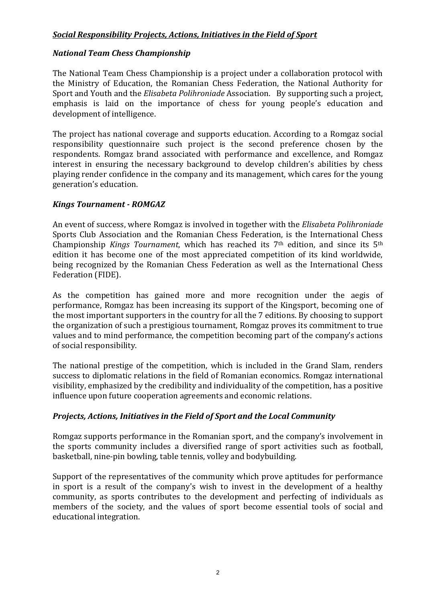## *Social Responsibility Projects, Actions, Initiatives in the Field of Sport*

## *National Team Chess Championship*

The National Team Chess Championship is a project under a collaboration protocol with the Ministry of Education, the Romanian Chess Federation, the National Authority for Sport and Youth and the *Elisabeta Polihroniade* Association. By supporting such a project, emphasis is laid on the importance of chess for young people's education and development of intelligence.

The project has national coverage and supports education. According to a Romgaz social responsibility questionnaire such project is the second preference chosen by the respondents. Romgaz brand associated with performance and excellence, and Romgaz interest in ensuring the necessary background to develop children's abilities by chess playing render confidence in the company and its management, which cares for the young generation's education.

## *Kings Tournament - ROMGAZ*

An event of success, where Romgaz is involved in together with the *Elisabeta Polihroniade* Sports Club Association and the Romanian Chess Federation, is the International Chess Championship *Kings Tournament*, which has reached its 7th edition, and since its 5th edition it has become one of the most appreciated competition of its kind worldwide, being recognized by the Romanian Chess Federation as well as the International Chess Federation (FIDE).

As the competition has gained more and more recognition under the aegis of performance, Romgaz has been increasing its support of the Kingsport, becoming one of the most important supporters in the country for all the 7 editions. By choosing to support the organization of such a prestigious tournament, Romgaz proves its commitment to true values and to mind performance, the competition becoming part of the company's actions of social responsibility.

The national prestige of the competition, which is included in the Grand Slam, renders success to diplomatic relations in the field of Romanian economics. Romgaz international visibility, emphasized by the credibility and individuality of the competition, has a positive influence upon future cooperation agreements and economic relations.

## *Projects, Actions, Initiatives in the Field of Sport and the Local Community*

Romgaz supports performance in the Romanian sport, and the company's involvement in the sports community includes a diversified range of sport activities such as football, basketball, nine-pin bowling, table tennis, volley and bodybuilding.

Support of the representatives of the community which prove aptitudes for performance in sport is a result of the company's wish to invest in the development of a healthy community, as sports contributes to the development and perfecting of individuals as members of the society, and the values of sport become essential tools of social and educational integration.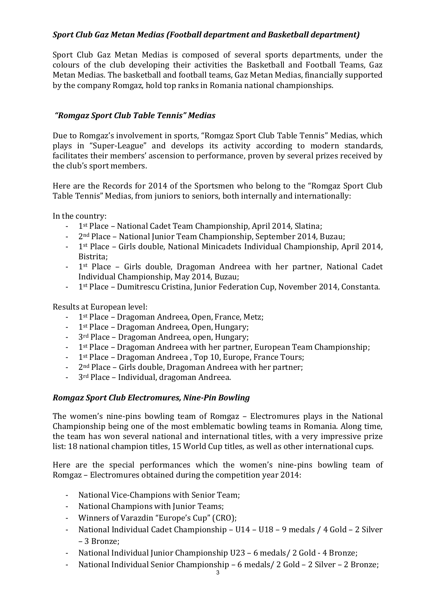## *Sport Club Gaz Metan Medias (Football department and Basketball department)*

Sport Club Gaz Metan Medias is composed of several sports departments, under the colours of the club developing their activities the Basketball and Football Teams, Gaz Metan Medias. The basketball and football teams, Gaz Metan Medias, financially supported by the company Romgaz, hold top ranks in Romania national championships.

## *"Romgaz Sport Club Table Tennis" Medias*

Due to Romgaz's involvement in sports, "Romgaz Sport Club Table Tennis" Medias, which plays in "Super-League" and develops its activity according to modern standards, facilitates their members' ascension to performance, proven by several prizes received by the club's sport members.

Here are the Records for 2014 of the Sportsmen who belong to the "Romgaz Sport Club Table Tennis" Medias, from juniors to seniors, both internally and internationally:

In the country:

- 1st Place National Cadet Team Championship, April 2014, Slatina;
- 2nd Place National Junior Team Championship, September 2014, Buzau;
- 1st Place Girls double, National Minicadets Individual Championship, April 2014, Bistrita;
- 1st Place Girls double, Dragoman Andreea with her partner, National Cadet Individual Championship, May 2014, Buzau;
- 1st Place Dumitrescu Cristina, Junior Federation Cup, November 2014, Constanta.

Results at European level:

- 1st Place Dragoman Andreea, Open, France, Metz;
- 1st Place Dragoman Andreea, Open, Hungary;
- 3<sup>rd</sup> Place Dragoman Andreea, open, Hungary;
- 1st Place Dragoman Andreea with her partner, European Team Championship;
- 1<sup>st</sup> Place Dragoman Andreea, Top 10, Europe, France Tours;
- 2nd Place Girls double, Dragoman Andreea with her partner;
- 3<sup>rd</sup> Place Individual, dragoman Andreea.

#### *Romgaz Sport Club Electromures, Nine-Pin Bowling*

The women's nine-pins bowling team of Romgaz – Electromures plays in the National Championship being one of the most emblematic bowling teams in Romania. Along time, the team has won several national and international titles, with a very impressive prize list: 18 national champion titles, 15 World Cup titles, as well as other international cups.

Here are the special performances which the women's nine-pins bowling team of Romgaz – Electromures obtained during the competition year 2014:

- National Vice-Champions with Senior Team;
- National Champions with Junior Teams;
- Winners of Varazdin "Europe's Cup" (CRO);
- National Individual Cadet Championship U14 U18 9 medals / 4 Gold 2 Silver – 3 Bronze;
- National Individual Junior Championship U23 6 medals / 2 Gold 4 Bronze;
- National Individual Senior Championship 6 medals/ 2 Gold 2 Silver 2 Bronze;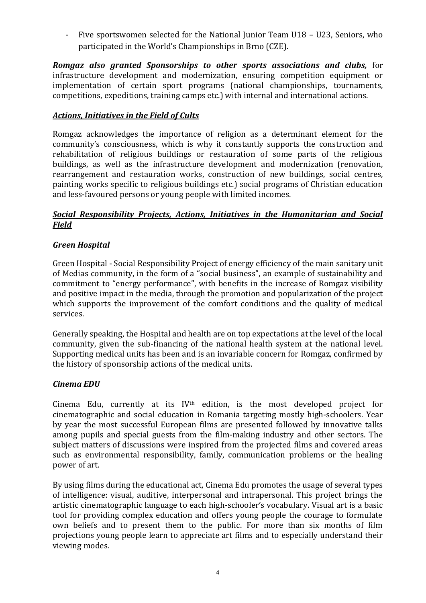- Five sportswomen selected for the National Junior Team U18 – U23, Seniors, who participated in the World's Championships in Brno (CZE).

*Romgaz also granted Sponsorships to other sports associations and clubs,* for infrastructure development and modernization, ensuring competition equipment or implementation of certain sport programs (national championships, tournaments, competitions, expeditions, training camps etc.) with internal and international actions.

## *Actions, Initiatives in the Field of Cults*

Romgaz acknowledges the importance of religion as a determinant element for the community's consciousness, which is why it constantly supports the construction and rehabilitation of religious buildings or restauration of some parts of the religious buildings, as well as the infrastructure development and modernization (renovation, rearrangement and restauration works, construction of new buildings, social centres, painting works specific to religious buildings etc.) social programs of Christian education and less-favoured persons or young people with limited incomes.

## *Social Responsibility Projects, Actions, Initiatives in the Humanitarian and Social Field*

## *Green Hospital*

Green Hospital - Social Responsibility Project of energy efficiency of the main sanitary unit of Medias community, in the form of a "social business", an example of sustainability and commitment to "energy performance", with benefits in the increase of Romgaz visibility and positive impact in the media, through the promotion and popularization of the project which supports the improvement of the comfort conditions and the quality of medical services.

Generally speaking, the Hospital and health are on top expectations at the level of the local community, given the sub-financing of the national health system at the national level. Supporting medical units has been and is an invariable concern for Romgaz, confirmed by the history of sponsorship actions of the medical units.

## *Cinema EDU*

Cinema Edu, currently at its  $IV<sup>th</sup>$  edition, is the most developed project for cinematographic and social education in Romania targeting mostly high-schoolers. Year by year the most successful European films are presented followed by innovative talks among pupils and special guests from the film-making industry and other sectors. The subject matters of discussions were inspired from the projected films and covered areas such as environmental responsibility, family, communication problems or the healing power of art.

By using films during the educational act, Cinema Edu promotes the usage of several types of intelligence: visual, auditive, interpersonal and intrapersonal. This project brings the artistic cinematographic language to each high-schooler's vocabulary. Visual art is a basic tool for providing complex education and offers young people the courage to formulate own beliefs and to present them to the public. For more than six months of film projections young people learn to appreciate art films and to especially understand their viewing modes.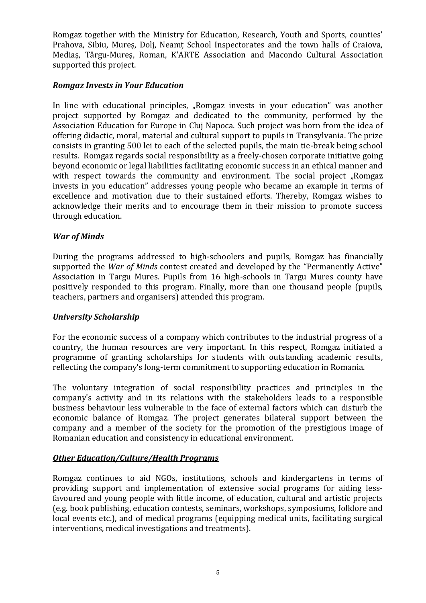Romgaz together with the Ministry for Education, Research, Youth and Sports, counties' Prahova, Sibiu, Mureș, Dolj, Neamț School Inspectorates and the town halls of Craiova, Mediaş, Târgu-Mureş, Roman, K'ARTE Association and Macondo Cultural Association supported this project.

#### *Romgaz Invests in Your Education*

In line with educational principles, "Romgaz invests in your education" was another project supported by Romgaz and dedicated to the community, performed by the Association Education for Europe in Cluj Napoca. Such project was born from the idea of offering didactic, moral, material and cultural support to pupils in Transylvania. The prize consists in granting 500 lei to each of the selected pupils, the main tie-break being school results. Romgaz regards social responsibility as a freely-chosen corporate initiative going beyond economic or legal liabilities facilitating economic success in an ethical manner and with respect towards the community and environment. The social project "Romgaz invests in you education" addresses young people who became an example in terms of excellence and motivation due to their sustained efforts. Thereby, Romgaz wishes to acknowledge their merits and to encourage them in their mission to promote success through education.

## *War of Minds*

During the programs addressed to high-schoolers and pupils, Romgaz has financially supported the *War of Minds* contest created and developed by the "Permanently Active" Association in Targu Mures. Pupils from 16 high-schools in Targu Mures county have positively responded to this program. Finally, more than one thousand people (pupils, teachers, partners and organisers) attended this program.

## *University Scholarship*

For the economic success of a company which contributes to the industrial progress of a country, the human resources are very important. In this respect, Romgaz initiated a programme of granting scholarships for students with outstanding academic results, reflecting the company's long-term commitment to supporting education in Romania.

The voluntary integration of social responsibility practices and principles in the company's activity and in its relations with the stakeholders leads to a responsible business behaviour less vulnerable in the face of external factors which can disturb the economic balance of Romgaz. The project generates bilateral support between the company and a member of the society for the promotion of the prestigious image of Romanian education and consistency in educational environment.

## *Other Education/Culture/Health Programs*

Romgaz continues to aid NGOs, institutions, schools and kindergartens in terms of providing support and implementation of extensive social programs for aiding lessfavoured and young people with little income, of education, cultural and artistic projects (e.g. book publishing, education contests, seminars, workshops, symposiums, folklore and local events etc.), and of medical programs (equipping medical units, facilitating surgical interventions, medical investigations and treatments).